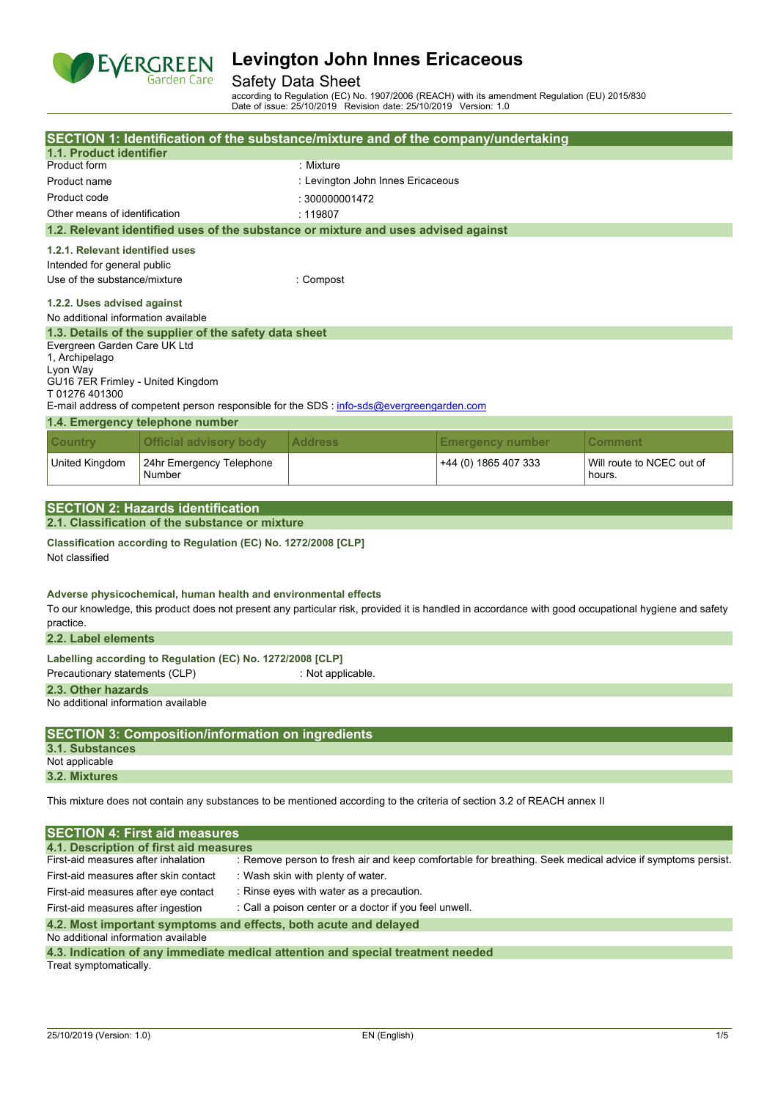

# Safety Data Sheet

according to Regulation (EC) No. 1907/2006 (REACH) with its amendment Regulation (EU) 2015/830 Date of issue: 25/10/2019 Revision date: 25/10/2019 Version: 1.0

|                                                                    | SECTION 1: Identification of the substance/mixture and of the company/undertaking                                                                                                                                                                                                         |                                                                                                           |                         |                                     |  |  |
|--------------------------------------------------------------------|-------------------------------------------------------------------------------------------------------------------------------------------------------------------------------------------------------------------------------------------------------------------------------------------|-----------------------------------------------------------------------------------------------------------|-------------------------|-------------------------------------|--|--|
| 1.1. Product identifier                                            |                                                                                                                                                                                                                                                                                           |                                                                                                           |                         |                                     |  |  |
| Product form                                                       |                                                                                                                                                                                                                                                                                           | : Mixture                                                                                                 |                         |                                     |  |  |
| Product name                                                       |                                                                                                                                                                                                                                                                                           | : Levington John Innes Ericaceous                                                                         |                         |                                     |  |  |
| Product code                                                       |                                                                                                                                                                                                                                                                                           | : 300000001472                                                                                            |                         |                                     |  |  |
| Other means of identification                                      |                                                                                                                                                                                                                                                                                           | : 119807                                                                                                  |                         |                                     |  |  |
|                                                                    | 1.2. Relevant identified uses of the substance or mixture and uses advised against                                                                                                                                                                                                        |                                                                                                           |                         |                                     |  |  |
| 1.2.1. Relevant identified uses                                    |                                                                                                                                                                                                                                                                                           |                                                                                                           |                         |                                     |  |  |
| Intended for general public                                        |                                                                                                                                                                                                                                                                                           |                                                                                                           |                         |                                     |  |  |
| Use of the substance/mixture                                       |                                                                                                                                                                                                                                                                                           | : Compost                                                                                                 |                         |                                     |  |  |
| 1.2.2. Uses advised against<br>No additional information available |                                                                                                                                                                                                                                                                                           |                                                                                                           |                         |                                     |  |  |
|                                                                    | 1.3. Details of the supplier of the safety data sheet                                                                                                                                                                                                                                     |                                                                                                           |                         |                                     |  |  |
| Evergreen Garden Care UK Ltd<br>1, Archipelago<br>Lyon Way         |                                                                                                                                                                                                                                                                                           |                                                                                                           |                         |                                     |  |  |
| GU16 7ER Frimley - United Kingdom                                  |                                                                                                                                                                                                                                                                                           |                                                                                                           |                         |                                     |  |  |
| T01276401300                                                       | E-mail address of competent person responsible for the SDS : info-sds@evergreengarden.com                                                                                                                                                                                                 |                                                                                                           |                         |                                     |  |  |
|                                                                    | 1.4. Emergency telephone number                                                                                                                                                                                                                                                           |                                                                                                           |                         |                                     |  |  |
| <b>Country</b>                                                     | <b>Official advisory body</b>                                                                                                                                                                                                                                                             | <b>Address</b>                                                                                            | <b>Emergency number</b> | <b>Comment</b>                      |  |  |
| United Kingdom                                                     | 24hr Emergency Telephone<br>Number                                                                                                                                                                                                                                                        |                                                                                                           | +44 (0) 1865 407 333    | Will route to NCEC out of<br>hours. |  |  |
|                                                                    |                                                                                                                                                                                                                                                                                           |                                                                                                           |                         |                                     |  |  |
|                                                                    | <b>SECTION 2: Hazards identification</b>                                                                                                                                                                                                                                                  |                                                                                                           |                         |                                     |  |  |
|                                                                    | 2.1. Classification of the substance or mixture                                                                                                                                                                                                                                           |                                                                                                           |                         |                                     |  |  |
| Not classified                                                     | Classification according to Regulation (EC) No. 1272/2008 [CLP]<br>Adverse physicochemical, human health and environmental effects<br>To our knowledge, this product does not present any particular risk, provided it is handled in accordance with good occupational hygiene and safety |                                                                                                           |                         |                                     |  |  |
| practice.<br>2.2. Label elements                                   |                                                                                                                                                                                                                                                                                           |                                                                                                           |                         |                                     |  |  |
|                                                                    |                                                                                                                                                                                                                                                                                           |                                                                                                           |                         |                                     |  |  |
| Precautionary statements (CLP)                                     | Labelling according to Regulation (EC) No. 1272/2008 [CLP]                                                                                                                                                                                                                                | : Not applicable.                                                                                         |                         |                                     |  |  |
| 2.3. Other hazards                                                 |                                                                                                                                                                                                                                                                                           |                                                                                                           |                         |                                     |  |  |
| No additional information available                                |                                                                                                                                                                                                                                                                                           |                                                                                                           |                         |                                     |  |  |
|                                                                    |                                                                                                                                                                                                                                                                                           |                                                                                                           |                         |                                     |  |  |
|                                                                    | <b>SECTION 3: Composition/information on ingredients</b>                                                                                                                                                                                                                                  |                                                                                                           |                         |                                     |  |  |
| 3.1. Substances<br>Not applicable                                  |                                                                                                                                                                                                                                                                                           |                                                                                                           |                         |                                     |  |  |
| 3.2. Mixtures                                                      |                                                                                                                                                                                                                                                                                           |                                                                                                           |                         |                                     |  |  |
|                                                                    | This mixture does not contain any substances to be mentioned according to the criteria of section 3.2 of REACH annex II                                                                                                                                                                   |                                                                                                           |                         |                                     |  |  |
|                                                                    | <b>SECTION 4: First aid measures</b>                                                                                                                                                                                                                                                      |                                                                                                           |                         |                                     |  |  |
|                                                                    | 4.1. Description of first aid measures                                                                                                                                                                                                                                                    |                                                                                                           |                         |                                     |  |  |
| First-aid measures after inhalation                                |                                                                                                                                                                                                                                                                                           | : Remove person to fresh air and keep comfortable for breathing. Seek medical advice if symptoms persist. |                         |                                     |  |  |
| First-aid measures after skin contact                              |                                                                                                                                                                                                                                                                                           | : Wash skin with plenty of water.                                                                         |                         |                                     |  |  |
|                                                                    | : Rinse eyes with water as a precaution.<br>First-aid measures after eye contact                                                                                                                                                                                                          |                                                                                                           |                         |                                     |  |  |
|                                                                    | First-aid measures after ingestion<br>: Call a poison center or a doctor if you feel unwell.                                                                                                                                                                                              |                                                                                                           |                         |                                     |  |  |
| 4.2. Most important symptoms and effects, both acute and delayed   |                                                                                                                                                                                                                                                                                           |                                                                                                           |                         |                                     |  |  |

No additional information available

| 4.3. Indication of any immediate medical attention and special treatment needed |  |  |  |
|---------------------------------------------------------------------------------|--|--|--|
| Treat symptomatically.                                                          |  |  |  |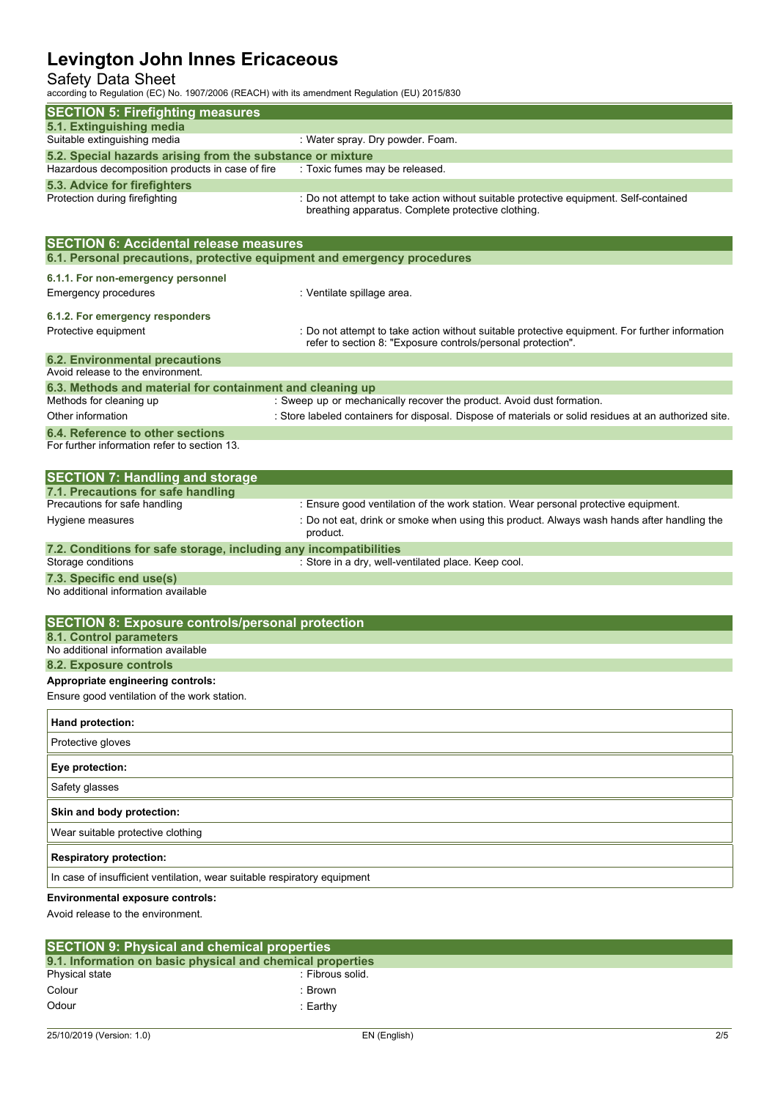# Safety Data Sheet

according to Regulation (EC) No. 1907/2006 (REACH) with its amendment Regulation (EU) 2015/830

| according to regulation (EO) NO. 1907/2000 (INEACH) With its amendment regulation (EO) 2019/000 |                                                                                                                                                                |
|-------------------------------------------------------------------------------------------------|----------------------------------------------------------------------------------------------------------------------------------------------------------------|
| <b>SECTION 5: Firefighting measures</b>                                                         |                                                                                                                                                                |
| 5.1. Extinguishing media<br>Suitable extinguishing media                                        | : Water spray. Dry powder. Foam.                                                                                                                               |
| 5.2. Special hazards arising from the substance or mixture                                      |                                                                                                                                                                |
| Hazardous decomposition products in case of fire                                                | : Toxic fumes may be released.                                                                                                                                 |
| 5.3. Advice for firefighters                                                                    |                                                                                                                                                                |
| Protection during firefighting                                                                  | : Do not attempt to take action without suitable protective equipment. Self-contained<br>breathing apparatus. Complete protective clothing.                    |
| <b>SECTION 6: Accidental release measures</b>                                                   |                                                                                                                                                                |
| 6.1. Personal precautions, protective equipment and emergency procedures                        |                                                                                                                                                                |
| 6.1.1. For non-emergency personnel<br><b>Emergency procedures</b>                               | : Ventilate spillage area.                                                                                                                                     |
| 6.1.2. For emergency responders                                                                 |                                                                                                                                                                |
| Protective equipment                                                                            | : Do not attempt to take action without suitable protective equipment. For further information<br>refer to section 8: "Exposure controls/personal protection". |
| <b>6.2. Environmental precautions</b>                                                           |                                                                                                                                                                |
| Avoid release to the environment.                                                               |                                                                                                                                                                |
| 6.3. Methods and material for containment and cleaning up<br>Methods for cleaning up            | : Sweep up or mechanically recover the product. Avoid dust formation.                                                                                          |
| Other information                                                                               | : Store labeled containers for disposal. Dispose of materials or solid residues at an authorized site.                                                         |
| 6.4. Reference to other sections<br>For further information refer to section 13.                |                                                                                                                                                                |
| <b>SECTION 7: Handling and storage</b>                                                          |                                                                                                                                                                |
| 7.1. Precautions for safe handling                                                              |                                                                                                                                                                |
| Precautions for safe handling                                                                   | : Ensure good ventilation of the work station. Wear personal protective equipment.                                                                             |
| Hygiene measures                                                                                | : Do not eat, drink or smoke when using this product. Always wash hands after handling the<br>product.                                                         |
| 7.2. Conditions for safe storage, including any incompatibilities                               |                                                                                                                                                                |
| Storage conditions                                                                              | : Store in a dry, well-ventilated place. Keep cool.                                                                                                            |
| 7.3. Specific end use(s)<br>No additional information available                                 |                                                                                                                                                                |
| <b>SECTION 8: Exposure controls/personal protection</b>                                         |                                                                                                                                                                |
| 8.1. Control parameters                                                                         |                                                                                                                                                                |
| No additional information available                                                             |                                                                                                                                                                |
| 8.2. Exposure controls                                                                          |                                                                                                                                                                |
| Appropriate engineering controls:<br>Ensure good ventilation of the work station.               |                                                                                                                                                                |
|                                                                                                 |                                                                                                                                                                |
| Hand protection:                                                                                |                                                                                                                                                                |
| Protective gloves                                                                               |                                                                                                                                                                |
| Eye protection:                                                                                 |                                                                                                                                                                |
| Safety glasses                                                                                  |                                                                                                                                                                |
| Skin and body protection:                                                                       |                                                                                                                                                                |
| Wear suitable protective clothing                                                               |                                                                                                                                                                |
| <b>Respiratory protection:</b>                                                                  |                                                                                                                                                                |
| In case of insufficient ventilation, wear suitable respiratory equipment                        |                                                                                                                                                                |
| <b>Environmental exposure controls:</b><br>Avoid release to the environment.                    |                                                                                                                                                                |

| <b>SECTION 9: Physical and chemical properties</b>         |                  |  |  |  |  |
|------------------------------------------------------------|------------------|--|--|--|--|
| 9.1. Information on basic physical and chemical properties |                  |  |  |  |  |
| Physical state                                             | : Fibrous solid. |  |  |  |  |
| Colour                                                     | Brown            |  |  |  |  |
| Odour                                                      | :Earthv          |  |  |  |  |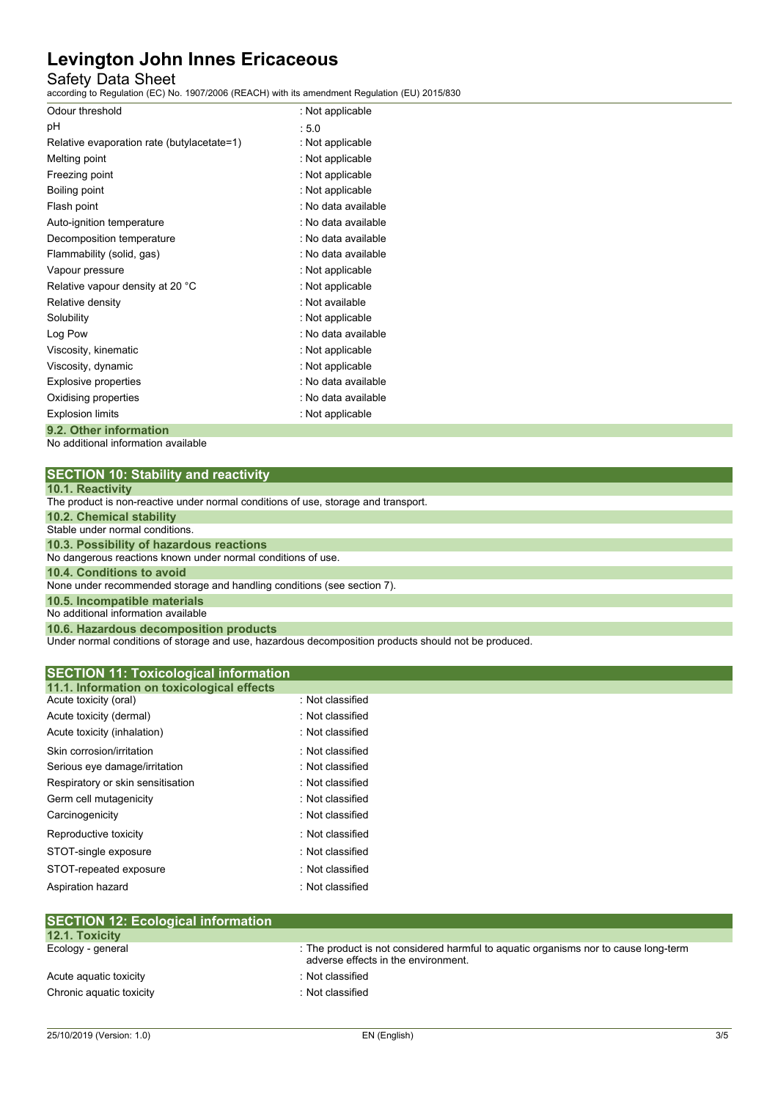# Safety Data Sheet

according to Regulation (EC) No. 1907/2006 (REACH) with its amendment Regulation (EU) 2015/830

| Odour threshold                            | : Not applicable    |
|--------------------------------------------|---------------------|
| рH                                         | :5.0                |
| Relative evaporation rate (butylacetate=1) | : Not applicable    |
| Melting point                              | : Not applicable    |
| Freezing point                             | : Not applicable    |
| Boiling point                              | : Not applicable    |
| Flash point                                | : No data available |
| Auto-ignition temperature                  | : No data available |
| Decomposition temperature                  | : No data available |
| Flammability (solid, gas)                  | : No data available |
| Vapour pressure                            | : Not applicable    |
| Relative vapour density at 20 °C           | : Not applicable    |
| Relative density                           | : Not available     |
| Solubility                                 | : Not applicable    |
| Log Pow                                    | : No data available |
| Viscosity, kinematic                       | : Not applicable    |
| Viscosity, dynamic                         | : Not applicable    |
| Explosive properties                       | : No data available |
| Oxidising properties                       | : No data available |
| <b>Explosion limits</b>                    | : Not applicable    |
| 9.2. Other information                     |                     |

No additional information available

| <b>SECTION 10: Stability and reactivity</b> |
|---------------------------------------------|
|---------------------------------------------|

|  |  | 10.1. Reactivity |  |
|--|--|------------------|--|
|  |  |                  |  |

| <b>IV.I.IWWWWITHY</b>                                                              |
|------------------------------------------------------------------------------------|
| The product is non-reactive under normal conditions of use, storage and transport. |
| 10.2. Chemical stability                                                           |
| Stable under normal conditions.                                                    |
| 10.3. Possibility of hazardous reactions                                           |
| No dangerous reactions known under normal conditions of use.                       |
| 10.4. Conditions to avoid                                                          |
| None under recommended storage and handling conditions (see section 7).            |
| 10.5. Incompatible materials                                                       |
| No additional information available                                                |
| 10.6. Hazardous decomposition products                                             |

Under normal conditions of storage and use, hazardous decomposition products should not be produced.

| <b>SECTION 11: Toxicological information</b><br>11.1. Information on toxicological effects |                  |  |
|--------------------------------------------------------------------------------------------|------------------|--|
| Acute toxicity (oral)                                                                      | : Not classified |  |
| Acute toxicity (dermal)                                                                    | : Not classified |  |
| Acute toxicity (inhalation)                                                                | : Not classified |  |
| Skin corrosion/irritation                                                                  | : Not classified |  |
| Serious eye damage/irritation                                                              | : Not classified |  |
| Respiratory or skin sensitisation                                                          | : Not classified |  |
| Germ cell mutagenicity                                                                     | : Not classified |  |
| Carcinogenicity                                                                            | : Not classified |  |
| Reproductive toxicity                                                                      | : Not classified |  |
| STOT-single exposure                                                                       | : Not classified |  |
| STOT-repeated exposure                                                                     | : Not classified |  |
| Aspiration hazard                                                                          | : Not classified |  |
|                                                                                            |                  |  |

| 12.1. Toxicity           |                                                                                                                            |
|--------------------------|----------------------------------------------------------------------------------------------------------------------------|
| Ecology - general        | : The product is not considered harmful to aquatic organisms nor to cause long-term<br>adverse effects in the environment. |
| Acute aguatic toxicity   | $\therefore$ Not classified                                                                                                |
| Chronic aquatic toxicity | $\therefore$ Not classified                                                                                                |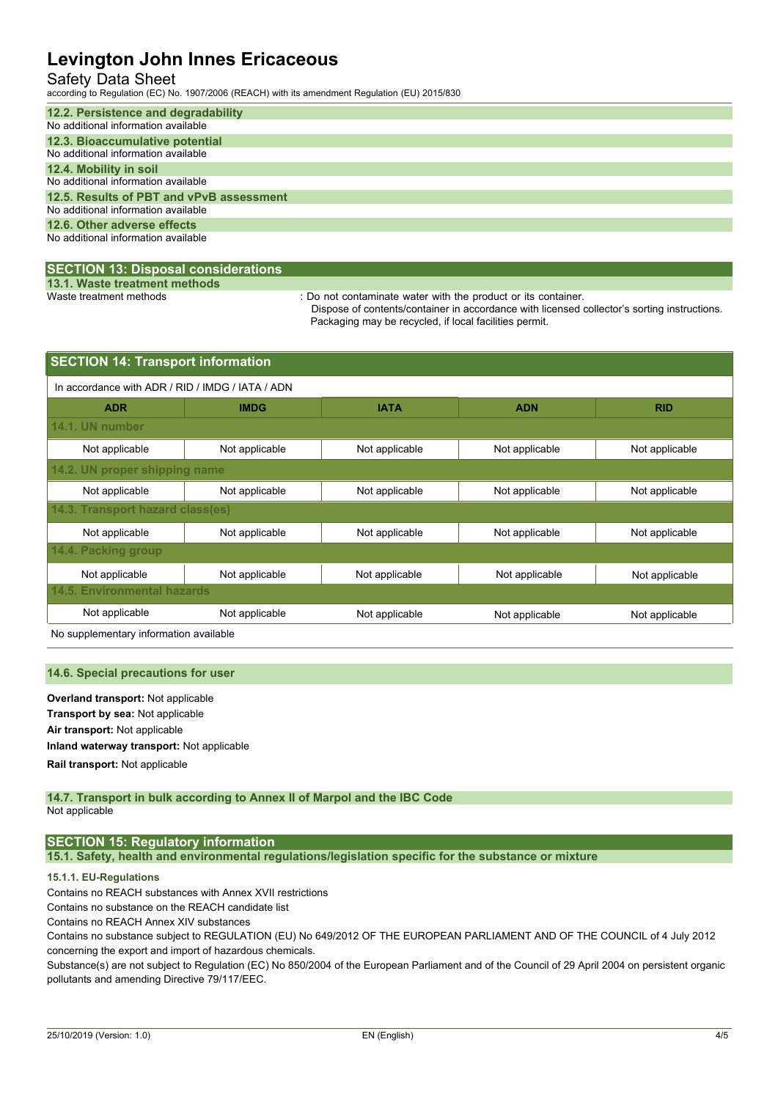# Safety Data Sheet

according to Regulation (EC) No. 1907/2006 (REACH) with its amendment Regulation (EU) 2015/830

| 12.2. Persistence and degradability      |
|------------------------------------------|
| No additional information available      |
| 12.3. Bioaccumulative potential          |
| No additional information available      |
| 12.4. Mobility in soil                   |
| No additional information available      |
| 12.5. Results of PBT and vPvB assessment |
| No additional information available      |
| 12.6. Other adverse effects              |
| No additional information available      |
|                                          |

### **SECTION 13: Disposal considerations**

**13.1. Waste treatment methods**

: Do not contaminate water with the product or its container.

Dispose of contents/container in accordance with licensed collector's sorting instructions. Packaging may be recycled, if local facilities permit.

| <b>SECTION 14: Transport information</b>         |                |                |                |                |  |  |  |
|--------------------------------------------------|----------------|----------------|----------------|----------------|--|--|--|
| In accordance with ADR / RID / IMDG / IATA / ADN |                |                |                |                |  |  |  |
| <b>ADR</b>                                       | <b>IMDG</b>    | <b>IATA</b>    | <b>ADN</b>     | <b>RID</b>     |  |  |  |
| 14.1. UN number                                  |                |                |                |                |  |  |  |
| Not applicable                                   | Not applicable | Not applicable | Not applicable | Not applicable |  |  |  |
| 14.2. UN proper shipping name                    |                |                |                |                |  |  |  |
| Not applicable                                   | Not applicable | Not applicable | Not applicable | Not applicable |  |  |  |
| 14.3. Transport hazard class(es)                 |                |                |                |                |  |  |  |
| Not applicable                                   | Not applicable | Not applicable | Not applicable | Not applicable |  |  |  |
| 14.4. Packing group                              |                |                |                |                |  |  |  |
| Not applicable                                   | Not applicable | Not applicable | Not applicable | Not applicable |  |  |  |
| <b>14.5. Environmental hazards</b>               |                |                |                |                |  |  |  |
| Not applicable                                   | Not applicable | Not applicable | Not applicable | Not applicable |  |  |  |

No supplementary information available

#### **14.6. Special precautions for user**

**Overland transport:** Not applicable **Transport by sea:** Not applicable **Air transport:** Not applicable **Inland waterway transport:** Not applicable **Rail.transport:** Not applicable

#### **14.7. Transport in bulk according to Annex II of Marpol and the IBC Code** Not applicable

# **SECTION 15: Regulatory information**

**15.1. Safety, health and environmental regulations/legislation specific for the substance or mixture**

### **15.1.1. EU-Regulations**

Contains no REACH substances with Annex XVII restrictions

Contains no substance on the REACH candidate list

Contains no REACH Annex XIV substances

Contains no substance subject to REGULATION (EU) No 649/2012 OF THE EUROPEAN PARLIAMENT AND OF THE COUNCIL of 4 July 2012 concerning the export and import of hazardous chemicals.

Substance(s) are not subject to Regulation (EC) No 850/2004 of the European Parliament and of the Council of 29 April 2004 on persistent organic pollutants and amending Directive 79/117/EEC.